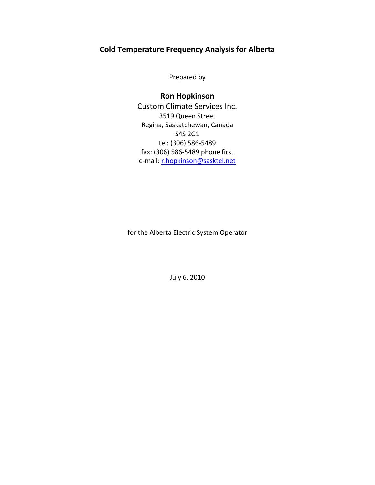# **Cold Temperature Frequency Analysis for Alberta**

Prepared by

**Ron Hopkinson** Custom Climate Services Inc. 3519 Queen Street Regina, Saskatchewan, Canada S4S 2G1 tel: (306) 586-5489 fax: (306) 586-5489 phone first e-mail: [r.hopkinson@sasktel.net](mailto:r.hopkinson@sasktel.net)

for the Alberta Electric System Operator

July 6, 2010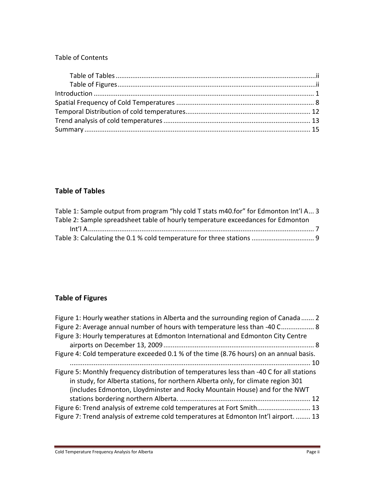## Table of Contents

# <span id="page-1-0"></span>**Table of Tables**

| Table 1: Sample output from program "hly cold T stats m40.for" for Edmonton Int'l A 3 |
|---------------------------------------------------------------------------------------|
| Table 2: Sample spreadsheet table of hourly temperature exceedances for Edmonton      |
|                                                                                       |
|                                                                                       |

# <span id="page-1-1"></span>**Table of Figures**

| Figure 1: Hourly weather stations in Alberta and the surrounding region of Canada 2                                                                                                                                                                          |
|--------------------------------------------------------------------------------------------------------------------------------------------------------------------------------------------------------------------------------------------------------------|
| Figure 2: Average annual number of hours with temperature less than -40 C 8                                                                                                                                                                                  |
| Figure 3: Hourly temperatures at Edmonton International and Edmonton City Centre                                                                                                                                                                             |
| Figure 4: Cold temperature exceeded 0.1 % of the time (8.76 hours) on an annual basis.                                                                                                                                                                       |
| Figure 5: Monthly frequency distribution of temperatures less than -40 C for all stations<br>in study, for Alberta stations, for northern Alberta only, for climate region 301<br>(includes Edmonton, Lloydminster and Rocky Mountain House) and for the NWT |
|                                                                                                                                                                                                                                                              |
| Figure 6: Trend analysis of extreme cold temperatures at Fort Smith 13                                                                                                                                                                                       |
| Figure 7: Trend analysis of extreme cold temperatures at Edmonton Int'l airport 13                                                                                                                                                                           |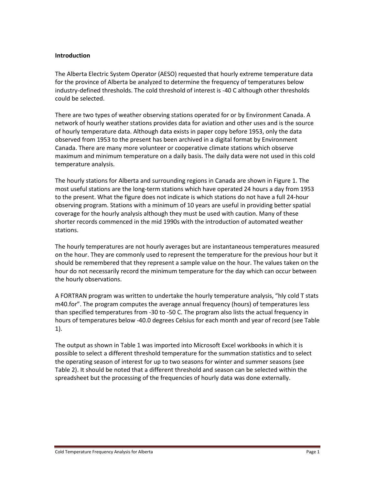#### <span id="page-2-0"></span>**Introduction**

The Alberta Electric System Operator (AESO) requested that hourly extreme temperature data for the province of Alberta be analyzed to determine the frequency of temperatures below industry-defined thresholds. The cold threshold of interest is -40 C although other thresholds could be selected.

There are two types of weather observing stations operated for or by Environment Canada. A network of hourly weather stations provides data for aviation and other uses and is the source of hourly temperature data. Although data exists in paper copy before 1953, only the data observed from 1953 to the present has been archived in a digital format by Environment Canada. There are many more volunteer or cooperative climate stations which observe maximum and minimum temperature on a daily basis. The daily data were not used in this cold temperature analysis.

The hourly stations for Alberta and surrounding regions in Canada are shown in Figure 1. The most useful stations are the long-term stations which have operated 24 hours a day from 1953 to the present. What the figure does not indicate is which stations do not have a full 24-hour observing program. Stations with a minimum of 10 years are useful in providing better spatial coverage for the hourly analysis although they must be used with caution. Many of these shorter records commenced in the mid 1990s with the introduction of automated weather stations.

The hourly temperatures are not hourly averages but are instantaneous temperatures measured on the hour. They are commonly used to represent the temperature for the previous hour but it should be remembered that they represent a sample value on the hour. The values taken on the hour do not necessarily record the minimum temperature for the day which can occur between the hourly observations.

A FORTRAN program was written to undertake the hourly temperature analysis, "hly cold T stats m40.for". The program computes the average annual frequency (hours) of temperatures less than specified temperatures from -30 to -50 C. The program also lists the actual frequency in hours of temperatures below -40.0 degrees Celsius for each month and year of record (see Table 1).

The output as shown in Table 1 was imported into Microsoft Excel workbooks in which it is possible to select a different threshold temperature for the summation statistics and to select the operating season of interest for up to two seasons for winter and summer seasons (see Table 2). It should be noted that a different threshold and season can be selected within the spreadsheet but the processing of the frequencies of hourly data was done externally.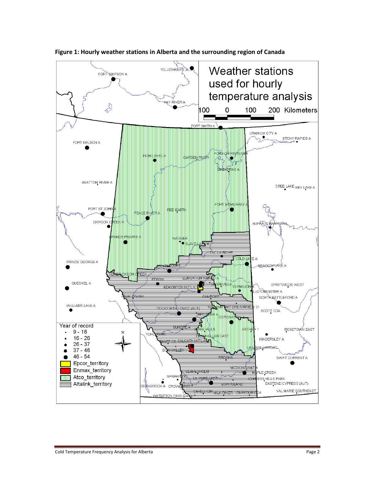

<span id="page-3-0"></span>**Figure 1: Hourly weather stations in Alberta and the surrounding region of Canada**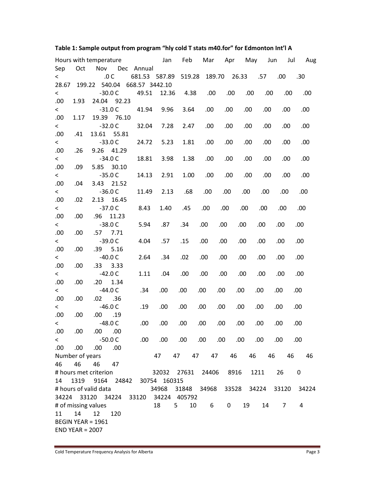|                          |                   | Hours with temperature |            |  |            | Jan                                  | Feb    |  | Mar    | Apr  |       | May |      | Jun  | Jul  |      | Aug   |
|--------------------------|-------------------|------------------------|------------|--|------------|--------------------------------------|--------|--|--------|------|-------|-----|------|------|------|------|-------|
| Sep                      | Oct               | Nov                    |            |  | Dec Annual |                                      |        |  |        |      |       |     |      |      |      |      |       |
| $\,<\,$                  |                   |                        | .0 C       |  |            | 681.53 587.89                        | 519.28 |  | 189.70 |      | 26.33 |     | .57  | .00  |      | .30  |       |
| 28.67                    | 199.22            |                        | 540.04     |  |            | 668.57 3442.10                       |        |  |        |      |       |     |      |      |      |      |       |
| $\overline{\phantom{0}}$ |                   |                        | $-30.0C$   |  | 49.51      | 12.36                                | 4.38   |  | .00.   | .00  |       | .00 | .00  |      | .00. |      | .00.  |
| .00                      | 1.93              | 24.04 92.23            |            |  |            |                                      |        |  |        |      |       |     |      |      |      |      |       |
| $\overline{\phantom{0}}$ |                   |                        | $-31.0C$   |  | 41.94      | 9.96                                 | 3.64   |  | .00    | .00  |       | .00 | .00. |      | .00  |      | .00   |
| .00                      | 1.17              | 19.39 76.10            |            |  |            |                                      |        |  |        |      |       |     |      |      |      |      |       |
| $\leq$                   |                   |                        | $-32.0C$   |  | 32.04      | 7.28                                 | 2.47   |  | .00.   | .00  |       | .00 | .00  |      | .00  |      | .00   |
| .00                      | .41               | 13.61                  | 55.81      |  |            |                                      |        |  |        |      |       |     |      |      |      |      |       |
| $\overline{\phantom{0}}$ |                   |                        | $-33.0C$   |  | 24.72      | 5.23                                 | 1.81   |  | .00.   | .00  |       | .00 | .00  |      | .00  |      | .00   |
| .00                      | .26               | 9.26                   | 41.29      |  |            |                                      |        |  |        |      |       |     |      |      |      |      |       |
| $\leq$                   |                   |                        | $-34.0C$   |  | 18.81      | 3.98                                 | 1.38   |  | .00    | .00  |       | .00 | .00  |      | .00  |      | .00   |
| .00                      | .09               | 5.85 30.10             |            |  |            |                                      |        |  |        |      |       |     |      |      |      |      |       |
| $\overline{\phantom{0}}$ |                   |                        | $-35.0C$   |  | 14.13      | 2.91                                 | 1.00   |  | .00.   | .00  |       | .00 | .00  |      | .00  |      | .00   |
| .00                      | .04               | 3.43 21.52             |            |  |            |                                      |        |  |        |      |       |     |      |      |      |      |       |
| $\leq$                   |                   |                        | $-36.0C$   |  | 11.49      | 2.13                                 | .68    |  | .00    | .00. | .00   |     | .00. |      | .00. | .00  |       |
| .00                      | .02               | 2.13                   | 16.45      |  |            |                                      |        |  |        |      |       |     |      |      |      |      |       |
| $\leq$                   |                   |                        | $-37.0C$   |  | 8.43       | 1.40                                 | .45    |  | .00    | .00. | .00.  |     | .00  | .00  |      | .00. |       |
| .00                      | .00               | .96                    | 11.23      |  |            |                                      |        |  |        |      |       |     |      |      |      |      |       |
| $\overline{\phantom{0}}$ |                   |                        | $-38.0C$   |  | 5.94       | .87                                  | .34    |  | .00.   | .00. | .00   |     | .00  | .00  |      | .00. |       |
| .00                      | .00               |                        | $.57$ 7.71 |  |            |                                      |        |  |        |      |       |     |      |      |      |      |       |
| $\overline{\phantom{0}}$ |                   |                        | $-39.0C$   |  | 4.04       | .57                                  | .15    |  | .00    | .00  | .00   |     | .00  | .00  |      | .00  |       |
| .00                      | .00               | .39                    | 5.16       |  |            |                                      |        |  |        |      |       |     |      |      |      |      |       |
| $\overline{\phantom{0}}$ |                   |                        | $-40.0C$   |  | 2.64       | .34                                  | .02    |  | .00    | .00. | .00.  |     | .00  | .00  |      | .00  |       |
| .00                      | .00               | .33 <sub>0</sub>       | 3.33       |  |            |                                      |        |  |        |      |       |     |      |      |      |      |       |
| $\overline{\phantom{0}}$ |                   |                        | $-42.0C$   |  | 1.11       | .04                                  | .00    |  | .00.   | .00. | .00.  |     | .00  | .00. |      | .00  |       |
| .00                      | .00               | .20                    | 1.34       |  |            |                                      |        |  |        |      |       |     |      |      |      |      |       |
| $\overline{\phantom{0}}$ |                   |                        | $-44.0C$   |  | .34        | .00                                  | .00    |  | .00.   | .00  | .00   |     | .00  | .00  |      | .00. |       |
| .00                      | .00               | .02                    | .36        |  |            |                                      |        |  |        |      |       |     |      |      |      |      |       |
| $\overline{\phantom{0}}$ |                   |                        | $-46.0C$   |  | .19        | .00                                  | .00    |  | .00.   | .00  | .00   |     | .00. | .00. |      | .00. |       |
| .00                      | .00               | .00.                   | .19        |  |            |                                      |        |  |        |      |       |     |      |      |      |      |       |
| $\overline{\phantom{0}}$ |                   |                        | $-48.0C$   |  | .00        | .00                                  | .00.   |  | .00    | .00  | .00   |     | .00. | .00. |      | .00  |       |
| .00.                     | .00.              | $.00$ .00              |            |  |            |                                      |        |  |        |      |       |     |      |      |      |      |       |
| $\overline{\phantom{0}}$ |                   | -50.0 C                |            |  |            | 00. 00. 00. 00. 00. 00.              |        |  |        |      |       |     | .00  | .00  |      | .00  |       |
| .00.                     | 00.               | .00.                   | .00        |  |            |                                      |        |  |        |      |       |     |      |      |      |      |       |
|                          | Number of years   |                        |            |  |            | 47                                   | 47 47  |  |        | 47   | 46    | 46  |      | 46   | 46   |      | 46    |
| 46                       | 46                | 46 47                  |            |  |            |                                      |        |  |        |      |       |     |      |      |      |      |       |
|                          |                   | # hours met criterion  |            |  |            | 32032 27631 24406 8916               |        |  |        |      |       |     | 1211 |      | 26   | 0    |       |
| 14                       |                   |                        |            |  |            | 1319 9164 24842 30754 160315         |        |  |        |      |       |     |      |      |      |      |       |
|                          |                   | # hours of valid data  |            |  |            | 34968 31848 34968 33528 34224 33120  |        |  |        |      |       |     |      |      |      |      | 34224 |
|                          |                   |                        |            |  |            | 34224 33120 34224 33120 34224 405792 |        |  |        |      |       |     |      |      |      |      |       |
|                          |                   | # of missing values    |            |  |            | 18                                   | $5 -$  |  | 10 6   |      | 0     | 19  |      | 14   | 7    | 4    |       |
| 11                       | 14                | 12                     | 120        |  |            |                                      |        |  |        |      |       |     |      |      |      |      |       |
| <b>BEGIN YEAR = 1961</b> |                   |                        |            |  |            |                                      |        |  |        |      |       |     |      |      |      |      |       |
|                          | $END$ YEAR = 2007 |                        |            |  |            |                                      |        |  |        |      |       |     |      |      |      |      |       |

## <span id="page-4-0"></span>**Table 1: Sample output from program "hly cold T stats m40.for" for Edmonton Int'l A**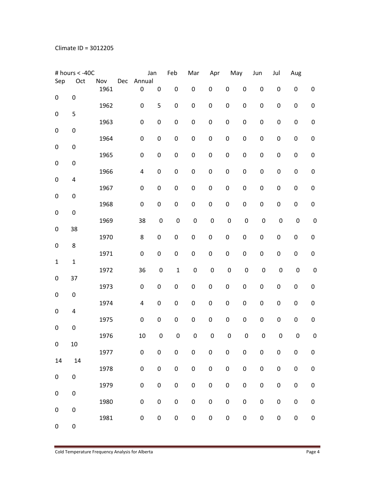|                  | # hours < -40C   |             |     |                       | Jan              | Feb              | Mar              | Apr              |                  | May              | Jun              | Jul              | Aug              |                  |
|------------------|------------------|-------------|-----|-----------------------|------------------|------------------|------------------|------------------|------------------|------------------|------------------|------------------|------------------|------------------|
| Sep              | Oct              | Nov<br>1961 | Dec | Annual<br>$\mathbf 0$ | $\boldsymbol{0}$ | $\pmb{0}$        | $\boldsymbol{0}$ | $\pmb{0}$        | 0                | $\pmb{0}$        | $\mathbf 0$      | $\boldsymbol{0}$ | $\pmb{0}$        | 0                |
| $\boldsymbol{0}$ | $\boldsymbol{0}$ | 1962        |     | $\pmb{0}$             | 5                | $\pmb{0}$        | $\pmb{0}$        | $\pmb{0}$        | $\pmb{0}$        | $\boldsymbol{0}$ | $\boldsymbol{0}$ | $\pmb{0}$        | $\pmb{0}$        | $\boldsymbol{0}$ |
| $\mathbf 0$      | 5                |             |     |                       |                  |                  |                  |                  |                  |                  |                  |                  |                  |                  |
| $\boldsymbol{0}$ | $\boldsymbol{0}$ | 1963        |     | $\pmb{0}$             | $\boldsymbol{0}$ | $\pmb{0}$        | $\pmb{0}$        | $\boldsymbol{0}$ | $\pmb{0}$        | $\pmb{0}$        | $\pmb{0}$        | $\pmb{0}$        | $\boldsymbol{0}$ | $\pmb{0}$        |
| $\pmb{0}$        | $\boldsymbol{0}$ | 1964        |     | $\pmb{0}$             | $\pmb{0}$        | $\pmb{0}$        | $\pmb{0}$        | $\mathbf 0$      | $\boldsymbol{0}$ | $\boldsymbol{0}$ | $\boldsymbol{0}$ | $\boldsymbol{0}$ | $\pmb{0}$        | $\boldsymbol{0}$ |
| $\pmb{0}$        | $\boldsymbol{0}$ | 1965        |     | $\pmb{0}$             | 0                | $\boldsymbol{0}$ | $\pmb{0}$        | $\boldsymbol{0}$ | $\boldsymbol{0}$ | $\boldsymbol{0}$ | $\boldsymbol{0}$ | $\boldsymbol{0}$ | $\boldsymbol{0}$ | 0                |
|                  |                  | 1966        |     | 4                     | 0                | $\pmb{0}$        | $\pmb{0}$        | $\pmb{0}$        | $\boldsymbol{0}$ | $\pmb{0}$        | $\pmb{0}$        | $\boldsymbol{0}$ | $\boldsymbol{0}$ | $\boldsymbol{0}$ |
| $\mathbf 0$      | 4                | 1967        |     | $\boldsymbol{0}$      | 0                | $\boldsymbol{0}$ | $\pmb{0}$        | $\pmb{0}$        | $\boldsymbol{0}$ | $\pmb{0}$        | $\boldsymbol{0}$ | $\boldsymbol{0}$ | $\boldsymbol{0}$ | 0                |
| $\boldsymbol{0}$ | $\pmb{0}$        | 1968        |     | $\boldsymbol{0}$      | $\pmb{0}$        | $\boldsymbol{0}$ | $\pmb{0}$        | $\mathbf 0$      | $\boldsymbol{0}$ | $\boldsymbol{0}$ | $\boldsymbol{0}$ | $\boldsymbol{0}$ | $\boldsymbol{0}$ | $\boldsymbol{0}$ |
| $\boldsymbol{0}$ | $\boldsymbol{0}$ | 1969        |     | 38                    | $\pmb{0}$        | $\boldsymbol{0}$ | $\pmb{0}$        | $\mathbf 0$      | $\pmb{0}$        | $\pmb{0}$        | $\boldsymbol{0}$ | $\mathbf 0$      | $\mathbf 0$      | $\boldsymbol{0}$ |
| $\boldsymbol{0}$ | 38               | 1970        |     | 8                     | $\pmb{0}$        | $\pmb{0}$        | $\pmb{0}$        | $\boldsymbol{0}$ | $\boldsymbol{0}$ | $\boldsymbol{0}$ | $\boldsymbol{0}$ | $\pmb{0}$        | $\pmb{0}$        | $\boldsymbol{0}$ |
| $\boldsymbol{0}$ | 8                |             |     |                       |                  |                  |                  |                  |                  |                  |                  |                  |                  |                  |
| $\mathbf{1}$     | $\mathbf 1$      | 1971        |     | $\boldsymbol{0}$      | $\boldsymbol{0}$ | $\boldsymbol{0}$ | $\pmb{0}$        | $\boldsymbol{0}$ | $\boldsymbol{0}$ | $\boldsymbol{0}$ | $\boldsymbol{0}$ | $\pmb{0}$        | $\pmb{0}$        | $\boldsymbol{0}$ |
| $\boldsymbol{0}$ | 37               | 1972        |     | 36                    | $\pmb{0}$        | $\mathbf{1}$     | $\pmb{0}$        | $\mathbf 0$      | $\pmb{0}$        | $\boldsymbol{0}$ | $\boldsymbol{0}$ | $\pmb{0}$        | $\mathbf 0$      | $\mathbf 0$      |
| $\pmb{0}$        | $\pmb{0}$        | 1973        |     | $\pmb{0}$             | 0                | $\boldsymbol{0}$ | $\pmb{0}$        | $\boldsymbol{0}$ | $\boldsymbol{0}$ | $\pmb{0}$        | $\boldsymbol{0}$ | $\pmb{0}$        | $\pmb{0}$        | 0                |
|                  |                  | 1974        |     | 4                     | $\boldsymbol{0}$ | $\boldsymbol{0}$ | $\pmb{0}$        | $\mathbf 0$      | $\boldsymbol{0}$ | $\pmb{0}$        | $\boldsymbol{0}$ | $\pmb{0}$        | $\boldsymbol{0}$ | $\boldsymbol{0}$ |
| $\boldsymbol{0}$ | 4                | 1975        |     | $\mathbf 0$           | $\boldsymbol{0}$ | $\boldsymbol{0}$ | $\pmb{0}$        | $\boldsymbol{0}$ | $\boldsymbol{0}$ | $\boldsymbol{0}$ | $\pmb{0}$        | $\boldsymbol{0}$ | $\boldsymbol{0}$ | 0                |
| $\boldsymbol{0}$ | $\boldsymbol{0}$ | 1976        |     | 10                    | $\pmb{0}$        | $\boldsymbol{0}$ | 0                | $\mathbf 0$      | $\pmb{0}$        | $\boldsymbol{0}$ | $\boldsymbol{0}$ | $\pmb{0}$        | $\mathbf 0$      | $\pmb{0}$        |
| $\pmb{0}$        | $10\,$           | 1977        |     | $\pmb{0}$             | 0                | $\pmb{0}$        | $\pmb{0}$        | $\pmb{0}$        | $\pmb{0}$        | $\pmb{0}$        | $\pmb{0}$        | $\pmb{0}$        | $\pmb{0}$        | $\boldsymbol{0}$ |
| 14               | 14               |             |     |                       |                  |                  |                  |                  |                  |                  |                  |                  |                  |                  |
| $\pmb{0}$        | $\pmb{0}$        | 1978        |     | $\pmb{0}$             | $\pmb{0}$        | $\pmb{0}$        | $\pmb{0}$        | $\pmb{0}$        | $\pmb{0}$        | $\pmb{0}$        | $\pmb{0}$        | $\pmb{0}$        | $\pmb{0}$        | $\pmb{0}$        |
| $\pmb{0}$        | $\pmb{0}$        | 1979        |     | $\pmb{0}$             | $\pmb{0}$        | $\mathbf 0$      | $\mathbf 0$      | $\mathbf 0$      | $\pmb{0}$        | $\pmb{0}$        | $\pmb{0}$        | $\pmb{0}$        | $\mathbf 0$      | $\boldsymbol{0}$ |
| $\pmb{0}$        | $\pmb{0}$        | 1980        |     | $\pmb{0}$             | $\pmb{0}$        | $\pmb{0}$        | $\mathbf 0$      | $\pmb{0}$        | $\pmb{0}$        | $\pmb{0}$        | $\pmb{0}$        | $\pmb{0}$        | $\pmb{0}$        | $\pmb{0}$        |
| $\pmb{0}$        | $\pmb{0}$        | 1981        |     | $\pmb{0}$             | $\pmb{0}$        | $\pmb{0}$        | $\pmb{0}$        | $\pmb{0}$        | $\pmb{0}$        | $\pmb{0}$        | $\pmb{0}$        | $\pmb{0}$        | $\pmb{0}$        | $\pmb{0}$        |
|                  |                  |             |     |                       |                  |                  |                  |                  |                  |                  |                  |                  |                  |                  |

E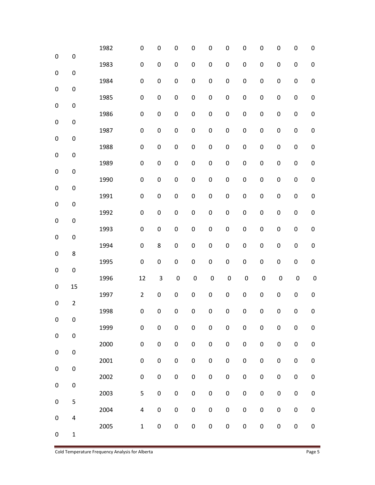|                  |                  | 1982 | $\mathbf 0$      | 0                | $\boldsymbol{0}$ | 0                | 0                | 0                | 0                | 0                | 0                | 0                | 0                |
|------------------|------------------|------|------------------|------------------|------------------|------------------|------------------|------------------|------------------|------------------|------------------|------------------|------------------|
| $\pmb{0}$        | $\pmb{0}$        | 1983 | $\boldsymbol{0}$ | $\boldsymbol{0}$ | $\pmb{0}$        | $\mathbf 0$      | $\mathbf 0$      | $\boldsymbol{0}$ | $\pmb{0}$        | $\boldsymbol{0}$ | $\pmb{0}$        | $\boldsymbol{0}$ | $\boldsymbol{0}$ |
| $\boldsymbol{0}$ | $\pmb{0}$        |      |                  |                  |                  |                  |                  |                  |                  |                  |                  |                  |                  |
| $\pmb{0}$        | $\pmb{0}$        | 1984 | $\boldsymbol{0}$ | $\boldsymbol{0}$ | $\pmb{0}$        | $\boldsymbol{0}$ | $\boldsymbol{0}$ | $\boldsymbol{0}$ | $\pmb{0}$        | $\pmb{0}$        | $\pmb{0}$        | $\boldsymbol{0}$ | $\boldsymbol{0}$ |
| $\pmb{0}$        | $\boldsymbol{0}$ | 1985 | $\boldsymbol{0}$ | $\boldsymbol{0}$ | $\pmb{0}$        | $\boldsymbol{0}$ | $\boldsymbol{0}$ | $\boldsymbol{0}$ | $\pmb{0}$        | $\boldsymbol{0}$ | $\boldsymbol{0}$ | $\pmb{0}$        | $\boldsymbol{0}$ |
| $\boldsymbol{0}$ | $\pmb{0}$        | 1986 | $\boldsymbol{0}$ | 0                | $\pmb{0}$        | $\boldsymbol{0}$ | $\boldsymbol{0}$ | $\boldsymbol{0}$ | $\boldsymbol{0}$ | $\boldsymbol{0}$ | $\boldsymbol{0}$ | $\boldsymbol{0}$ | $\boldsymbol{0}$ |
|                  |                  | 1987 | $\boldsymbol{0}$ | $\pmb{0}$        | $\pmb{0}$        | $\pmb{0}$        | $\boldsymbol{0}$ | $\boldsymbol{0}$ | $\pmb{0}$        | $\boldsymbol{0}$ | $\pmb{0}$        | $\boldsymbol{0}$ | $\pmb{0}$        |
| $\pmb{0}$        | $\pmb{0}$        | 1988 | $\boldsymbol{0}$ | $\boldsymbol{0}$ | $\boldsymbol{0}$ | $\boldsymbol{0}$ | $\boldsymbol{0}$ | $\boldsymbol{0}$ | $\pmb{0}$        | $\boldsymbol{0}$ | $\pmb{0}$        | $\boldsymbol{0}$ | $\boldsymbol{0}$ |
| $\boldsymbol{0}$ | $\pmb{0}$        | 1989 | $\boldsymbol{0}$ | $\boldsymbol{0}$ | $\boldsymbol{0}$ | $\boldsymbol{0}$ | $\mathbf 0$      | $\boldsymbol{0}$ | $\pmb{0}$        | $\boldsymbol{0}$ | $\boldsymbol{0}$ | $\boldsymbol{0}$ | $\boldsymbol{0}$ |
| $\pmb{0}$        | $\boldsymbol{0}$ | 1990 | $\boldsymbol{0}$ | $\boldsymbol{0}$ | $\pmb{0}$        | $\boldsymbol{0}$ | $\pmb{0}$        | $\boldsymbol{0}$ | $\boldsymbol{0}$ | $\boldsymbol{0}$ | $\pmb{0}$        | $\boldsymbol{0}$ | $\boldsymbol{0}$ |
| $\pmb{0}$        | $\boldsymbol{0}$ |      |                  |                  |                  |                  |                  |                  |                  |                  |                  |                  |                  |
| $\pmb{0}$        | $\pmb{0}$        | 1991 | $\boldsymbol{0}$ | $\boldsymbol{0}$ | $\pmb{0}$        | $\mathbf 0$      | $\mathbf 0$      | $\mathbf 0$      | $\pmb{0}$        | $\boldsymbol{0}$ | $\pmb{0}$        | $\boldsymbol{0}$ | $\mathbf 0$      |
| $\boldsymbol{0}$ | $\pmb{0}$        | 1992 | $\mathbf 0$      | $\boldsymbol{0}$ | $\boldsymbol{0}$ | $\boldsymbol{0}$ | $\boldsymbol{0}$ | $\boldsymbol{0}$ | $\pmb{0}$        | $\boldsymbol{0}$ | $\pmb{0}$        | $\pmb{0}$        | $\boldsymbol{0}$ |
| $\pmb{0}$        | $\boldsymbol{0}$ | 1993 | $\boldsymbol{0}$ | $\boldsymbol{0}$ | $\boldsymbol{0}$ | $\boldsymbol{0}$ | $\boldsymbol{0}$ | $\pmb{0}$        | $\boldsymbol{0}$ | $\boldsymbol{0}$ | $\pmb{0}$        | $\pmb{0}$        | $\boldsymbol{0}$ |
|                  |                  | 1994 | $\pmb{0}$        | 8                | $\boldsymbol{0}$ | $\boldsymbol{0}$ | $\boldsymbol{0}$ | $\boldsymbol{0}$ | $\boldsymbol{0}$ | $\boldsymbol{0}$ | $\pmb{0}$        | $\boldsymbol{0}$ | $\boldsymbol{0}$ |
| $\boldsymbol{0}$ | $\bf 8$          | 1995 | $\pmb{0}$        | $\pmb{0}$        | $\pmb{0}$        | $\pmb{0}$        | $\pmb{0}$        | $\pmb{0}$        | $\boldsymbol{0}$ | $\boldsymbol{0}$ | $\pmb{0}$        | $\boldsymbol{0}$ | $\pmb{0}$        |
| $\pmb{0}$        | $\pmb{0}$        | 1996 | 12               | 3                | $\pmb{0}$        | $\pmb{0}$        | $\boldsymbol{0}$ | $\boldsymbol{0}$ | $\pmb{0}$        | $\pmb{0}$        | $\pmb{0}$        | $\boldsymbol{0}$ | $\pmb{0}$        |
| $\pmb{0}$        | 15               | 1997 | $\overline{2}$   | 0                | $\pmb{0}$        | $\boldsymbol{0}$ | $\boldsymbol{0}$ | $\pmb{0}$        | $\boldsymbol{0}$ | $\boldsymbol{0}$ | $\pmb{0}$        | $\pmb{0}$        | $\boldsymbol{0}$ |
| $\pmb{0}$        | $\overline{2}$   |      |                  |                  |                  |                  |                  |                  |                  |                  |                  |                  |                  |
| 0                | 0                | 1998 | $\boldsymbol{0}$ | $\pmb{0}$        | $\pmb{0}$        | $\boldsymbol{0}$ | $\mathbf 0$      | $\boldsymbol{0}$ | $\boldsymbol{0}$ | $\boldsymbol{0}$ | $\pmb{0}$        | $\pmb{0}$        | $\boldsymbol{0}$ |
| $\pmb{0}$        | $\pmb{0}$        | 1999 | $\pmb{0}$        | $\boldsymbol{0}$ | $\pmb{0}$        | $\pmb{0}$        | $\pmb{0}$        | $\pmb{0}$        | $\pmb{0}$        | $\boldsymbol{0}$ | $\pmb{0}$        | $\pmb{0}$        | $\pmb{0}$        |
| $\pmb{0}$        | $\pmb{0}$        | 2000 | $\pmb{0}$        | $\pmb{0}$        | $\pmb{0}$        | $\mathbf 0$      | $\pmb{0}$        | $\pmb{0}$        | $\pmb{0}$        | $\pmb{0}$        | $\pmb{0}$        | $\pmb{0}$        | $\boldsymbol{0}$ |
|                  |                  | 2001 | $\pmb{0}$        | $\pmb{0}$        | $\pmb{0}$        | $\pmb{0}$        | $\pmb{0}$        | $\pmb{0}$        | $\boldsymbol{0}$ | $\pmb{0}$        | $\pmb{0}$        | $\pmb{0}$        | $\pmb{0}$        |
| $\pmb{0}$        | $\pmb{0}$        | 2002 | $\pmb{0}$        | $\pmb{0}$        | $\pmb{0}$        | $\mathbf 0$      | $\pmb{0}$        | $\pmb{0}$        | $\pmb{0}$        | $\pmb{0}$        | $\pmb{0}$        | $\pmb{0}$        | $\pmb{0}$        |
| $\pmb{0}$        | $\pmb{0}$        | 2003 | 5                | $\pmb{0}$        | $\pmb{0}$        | $\pmb{0}$        | $\boldsymbol{0}$ | $\pmb{0}$        | $\boldsymbol{0}$ | $\pmb{0}$        | $\pmb{0}$        | $\pmb{0}$        | $\pmb{0}$        |
| $\pmb{0}$        | 5                | 2004 | $\pmb{4}$        | $\pmb{0}$        | $\pmb{0}$        | $\mathbf 0$      | $\boldsymbol{0}$ | $\pmb{0}$        | $\pmb{0}$        | $\pmb{0}$        | $\pmb{0}$        | $\pmb{0}$        | $\pmb{0}$        |
| $\pmb{0}$        | $\pmb{4}$        |      |                  |                  |                  |                  |                  |                  |                  |                  |                  |                  |                  |
| $\pmb{0}$        | $\mathbf{1}$     | 2005 | $\mathbf 1$      | $\pmb{0}$        | $\pmb{0}$        | $\pmb{0}$        | $\boldsymbol{0}$ | $\pmb{0}$        | $\boldsymbol{0}$ | $\boldsymbol{0}$ | $\pmb{0}$        | $\pmb{0}$        | 0                |

Cold Temperature Frequency Analysis for Alberta **Page 5** Page 5

E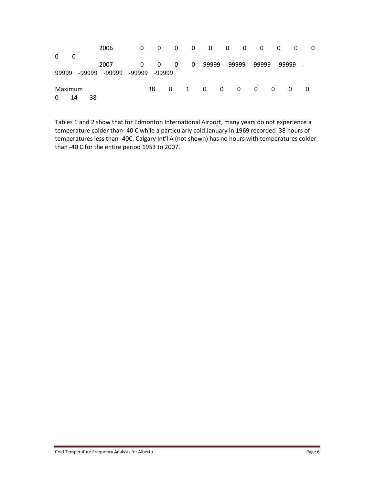|          |    |        | 2006   | 0      | - 0      | 0 |   | $0\qquad 0$    |                | $0\qquad 0$    | 0      | - 0 | 0        | $\mathbf 0$ |
|----------|----|--------|--------|--------|----------|---|---|----------------|----------------|----------------|--------|-----|----------|-------------|
| $\Omega$ | 0  |        |        |        |          |   |   |                |                |                |        |     |          |             |
|          |    |        | 2007   | 0      | $\Omega$ | 0 |   | 0 -99999       |                | -99999         | -99999 |     | -99999   |             |
| 99999    |    | -99999 | -99999 | -99999 | -99999   |   |   |                |                |                |        |     |          |             |
|          |    |        |        |        |          |   |   |                |                |                |        |     |          |             |
| Maximum  |    |        |        |        | 38       | 8 | 1 | $\overline{0}$ | $\overline{0}$ | $\overline{0}$ | - 0    | 0   | $\Omega$ | 0           |
| 0        | 14 | 38     |        |        |          |   |   |                |                |                |        |     |          |             |

Tables 1 and 2 show that for Edmonton International Airport, many years do not experience a temperature colder than -40 C while a particularly cold January in 1969 recorded 38 hours of temperatures less than -40C. Calgary Int'l A (not shown) has no hours with temperatures colder than -40 C for the entire period 1953 to 2007.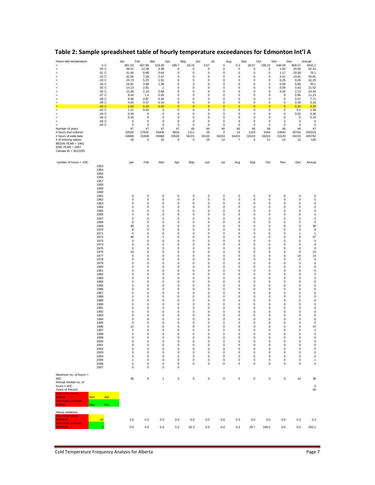| Hours with temperature                         |                   | Jan                        | Feb                        | Mar                    | Apr                      | May<br>Jun                 |                            | Jul                        | Aug                        | Sep                        | Oct                        | Nov                        | Dec                        | Annual                 |
|------------------------------------------------|-------------------|----------------------------|----------------------------|------------------------|--------------------------|----------------------------|----------------------------|----------------------------|----------------------------|----------------------------|----------------------------|----------------------------|----------------------------|------------------------|
| $\,<$<br>$\prec$                               | 0 C<br>$-30C$     | 681.53<br>49.51            | 587.89<br>12.36            | 519.28<br>4.38         | 189.7<br>0               | 26.33<br>0                 | 0.57<br>0                  | 0<br>0                     | 0.3<br>0                   | 28.67<br>0                 | 199.22<br>0                | 540.04<br>1.93             | 668.57<br>24.04            | 3442.1<br>92.23        |
| $\,<$                                          | $-31$ C           | 41.94                      | 9.96                       | 3.64                   | 0                        | 0                          | 0                          | 0                          | 0                          | 0                          | 0                          | 1.17                       | 19.39                      | 76.1                   |
| $\,<$<br>$\prec$                               | $-32C$<br>$-33C$  | 32.04<br>24.72             | 7.28<br>5.23               | 2.47<br>1.81           | 0<br>0                   | 0<br>0                     | 0<br>0                     | 0<br>0                     | 0<br>0                     | 0<br>0                     | 0<br>0                     | 0.41<br>0.26               | 13.61<br>9.26              | 55.81<br>41.29         |
| $\prec$                                        | $-34$ C           | 18.81                      | 3.98                       | 1.38                   | 0                        | 0                          | 0                          | 0                          | 0                          | 0                          | 0                          | 0.09                       | 5.85                       | 30.1                   |
| $\prec$<br>$\prec$                             | $-35$ C<br>$-36C$ | 14.13<br>11.49             | 2.91<br>2.13               | $\overline{1}$<br>0.68 | $\bf 0$<br>$\bf 0$       | 0<br>0                     | $\pmb{0}$<br>0             | $\pmb{0}$<br>$\pmb{0}$     | $\pmb{0}$<br>0             | $\pmb{0}$<br>$\mathbf 0$   | $\mathsf 0$<br>$\mathsf 0$ | 0.04<br>0.02               | 3.43<br>2.13               | 21.52<br>16.45         |
| $\prec$                                        | $-37C$            | 8.43                       | 1.4                        | 0.45                   | $\bf 0$                  | 0                          | 0                          | $\pmb{0}$                  | 0                          | $\mathbf 0$                | $\mathsf 0$                | 0                          | 0.96                       | 11.23                  |
| <<br><                                         | $-38$ C<br>$-39C$ | 5.94<br>4.04               | 0.87<br>0.57               | 0.34<br>0.15           | 0<br>$\bf 0$             | 0<br>0                     | 0<br>0                     | $\pmb{0}$<br>$\pmb{0}$     | 0<br>0                     | $\mathbf 0$<br>$\mathbf 0$ | $\mathsf 0$<br>$\mathsf 0$ | 0<br>0                     | 0.57<br>0.39               | 7.71<br>5.16           |
| k                                              | $-40C$            | 2.64                       | 0.34                       | 0.02                   | $\overline{0}$           | $\overline{\mathbf{0}}$    | $\overline{\mathbf{0}}$    | $\overline{0}$             | $\overline{\mathbf{0}}$    | $\overline{0}$             | $\overline{\mathbf{0}}$    | $\overline{0}$             | 0.33                       | 3.33                   |
| <<br>$\prec$                                   | -42 C<br>-44 C    | 1.11<br>0.34               | 0.04<br>$\mathbf 0$        | 0<br>0                 | $\pmb{0}$<br>0           | 0<br>0                     | 0<br>0                     | $\pmb{0}$<br>0             | 0<br>0                     | 0<br>0                     | $\mathsf 0$<br>0           | $\mathsf 0$<br>0           | 0.2<br>0.02                | 1.34<br>0.36           |
| $\prec$                                        | -46 C             | 0.19                       | $\mathbf 0$                | 0                      | 0                        | 0                          | 0                          | $\pmb{0}$                  | 0                          | $\mathbf 0$                | 0                          | 0                          | 0                          | 0.19                   |
| $\prec$<br><                                   | -48 C<br>-50 C    | $\mathbf 0$<br>$\mathbf 0$ | $\mathbf 0$<br>$\mathbf 0$ | 0<br>0                 | 0<br>0                   | 0<br>0                     | 0<br>0                     | 0<br>0                     | 0<br>0                     | $\mathbf 0$<br>$\mathbf 0$ | 0<br>0                     | 0<br>0                     | 0<br>0                     | 0<br>0                 |
| Number of years                                |                   | 47                         | 47                         | 47                     | 47                       | 46                         | 46                         | 46                         | 46                         | 46                         | 46                         | 46                         | 46                         | 47                     |
| # hours met criterion<br># hours of valid data |                   | 32032<br>34968             | 27631<br>31848             | 24406<br>34968         | 8916<br>33528            | 1211<br>34224              | 26<br>33120                | 0<br>34224                 | 14<br>34224                | 1319<br>33120              | 9164<br>34224              | 24842<br>33120             | 30754<br>34224             | 160315<br>405792       |
| # of missing values                            |                   | 18                         | 5                          | 10                     | 6                        | 0                          | 19                         | 14                         | $\overline{7}$             | $\sqrt{4}$                 | 11                         | 14                         | 12                         | 120                    |
| BEGIN YEAR = 1961<br>$END$ YEAR = 2007         |                   |                            |                            |                        |                          |                            |                            |                            |                            |                            |                            |                            |                            |                        |
| Climate ID = 3012205                           |                   |                            |                            |                        |                          |                            |                            |                            |                            |                            |                            |                            |                            |                        |
|                                                |                   |                            |                            |                        |                          |                            |                            |                            |                            |                            |                            |                            |                            |                        |
| number of hours < -40C                         |                   | Jan                        | Feb                        | Mar                    | Apr                      | May                        | Jun                        | Jul                        | Aug                        | Sep                        | Oct                        | Nov                        | Dec                        | Annual                 |
|                                                | 1953<br>1954      |                            |                            |                        |                          |                            |                            |                            |                            |                            |                            |                            |                            |                        |
|                                                | 1955              |                            |                            |                        |                          |                            |                            |                            |                            |                            |                            |                            |                            |                        |
|                                                | 1956              |                            |                            |                        |                          |                            |                            |                            |                            |                            |                            |                            |                            |                        |
|                                                | 1957<br>1958      |                            |                            |                        |                          |                            |                            |                            |                            |                            |                            |                            |                            |                        |
|                                                | 1959              |                            |                            |                        |                          |                            |                            |                            |                            |                            |                            |                            |                            |                        |
|                                                | 1960<br>1961      | $\mathbf 0$                | $\mathbf 0$                | 0                      | $\bf 0$                  | $\mathbf 0$                | $\mathbf 0$                | 0                          | $\pmb{0}$                  | 0                          | $\mathsf 0$                | 0                          | $\mathbf 0$                | $\mathbf 0$            |
|                                                | 1962              | $\pmb{0}$                  | 5                          | 0                      | $\bf 0$                  | 0                          | 0                          | $\pmb{0}$                  | 0                          | 0                          | $\mathsf 0$                | 0                          | $\mathbf 0$                | 5                      |
|                                                | 1963              | 0<br>$\mathbf 0$           | $\mathbf 0$<br>$\mathbf 0$ | 0<br>$\Omega$          | 0<br>$\bf 0$             | 0<br>0                     | 0<br>$\mathbf 0$           | $\pmb{0}$<br>$\pmb{0}$     | 0                          | 0                          | 0<br>$\mathsf 0$           | 0<br>$\mathbf 0$           | 0<br>$\mathbf 0$           | 0<br>$\pmb{0}$         |
|                                                | 1964<br>1965      | $\pmb{0}$                  | $\mathbf 0$                | 0                      | 0                        | 0                          | $\Omega$                   | $\mathbf 0$                | 0<br>0                     | 0<br>0                     | 0                          | $\Omega$                   | $\mathbf 0$                | $\pmb{0}$              |
|                                                | 1966              | $\overline{4}$             | $\mathbf 0$                | 0                      | 0                        | 0                          | 0                          | $\mathbf 0$                | 0                          | 0                          | 0                          | 0                          | 0                          | 4                      |
|                                                | 1967<br>1968      | $\mathbf 0$<br>0           | $\mathbf 0$<br>$\mathbf 0$ | 0<br>0                 | 0<br>0                   | 0<br>0                     | 0<br>0                     | $\pmb{0}$<br>0             | 0<br>0                     | $\mathbf 0$<br>$\mathbf 0$ | 0<br>0                     | 0<br>0                     | 0<br>0                     | $\pmb{0}$<br>0         |
|                                                | 1969              | 38                         | 0                          | 0                      | 0                        | 0                          | 0                          | 0                          | 0                          | 0                          | 0                          | 0                          | 0                          | 38                     |
|                                                | 1970<br>1971      | 8<br>0                     | 0<br>0                     | 0<br>0                 | 0<br>0                   | 0<br>0                     | 0<br>0                     | 0<br>0                     | 0<br>0                     | 0<br>0                     | 0<br>0                     | 0<br>0                     | 0<br>1                     | 8<br>$\mathbf{1}$      |
|                                                | 1972              | 36                         | 0                          | 1                      | 0                        | 0                          | 0                          | 0                          | 0                          | 0                          | 0                          | 0                          | 0                          | 37                     |
|                                                | 1973              | 0                          | 0                          | 0                      | 0                        | 0                          | 0                          | 0                          | 0                          | 0                          | 0                          | 0                          | 0                          | 0                      |
|                                                | 1974<br>1975      | 4<br>$\mathbf 0$           | $\pmb{0}$<br>$\pmb{0}$     | 0<br>0                 | $\bf 0$<br>$\bf 0$       | 0<br>0                     | $\pmb{0}$<br>0             | 0<br>0                     | 0<br>0                     | $\pmb{0}$<br>0             | 0<br>0                     | 0<br>0                     | $\mathbf 0$<br>$\mathbf 0$ | 4<br>0                 |
|                                                | 1976              | 10                         | $\pmb{0}$                  | 0                      | $\bf 0$                  | 0                          | $\pmb{0}$                  | 0                          | 0                          | 0                          | 0                          | 0                          | $\mathbf 0$                | 10                     |
|                                                | 1977<br>1978      | $\mathbf 0$<br>$\mathbf 0$ | $\pmb{0}$<br>$\mathbf 0$   | 0<br>$\Omega$          | $\bf 0$<br>$\bf 0$       | 0<br>$\mathbf 0$           | 0<br>$\mathbf 0$           | 0<br>$\mathbf 0$           | 0<br>$\mathbf 0$           | 0<br>$\mathbf 0$           | 0<br>$\mathbf 0$           | 0<br>$\mathbf 0$           | 14<br>$\mathbf 0$          | 14<br>$\mathbf 0$      |
|                                                | 1979              | $\mathbf 0$                | $\mathbf 0$                | $\Omega$               | $\bf 0$                  | $\mathbf 0$                | $\mathbf 0$                | 0                          | $\mathbf 0$                | $\mathbf 0$                | $\mathbf 0$                | $\mathbf 0$                | 0                          | $\pmb{0}$              |
|                                                | 1980<br>1981      | $\mathbf 0$<br>$\mathbf 0$ | $\mathbf 0$<br>$\mathbf 0$ | $\Omega$<br>$\Omega$   | $\bf 0$<br>$\bf 0$       | $\mathbf 0$<br>$\mathbf 0$ | $\mathbf 0$<br>$\mathbf 0$ | 0<br>0                     | $\mathbf 0$<br>$\mathbf 0$ | $\mathbf 0$<br>$\mathbf 0$ | $\mathbf 0$<br>$\mathbf 0$ | $\mathbf 0$<br>$\mathbf 0$ | 0<br>$\mathbf 0$           | 0<br>0                 |
|                                                | 1982              | $\mathbf 0$                | $\mathbf 0$                | 0                      | $\bf 0$                  | $\mathbf 0$                | $\mathbf 0$                | 0                          | $\pmb{0}$                  | $\mathbf 0$                | $\mathsf 0$                | $\mathbf 0$                | $\mathbf 0$                | 0                      |
|                                                | 1983              | $\mathbf 0$                | $\mathbf 0$<br>$\mathbf 0$ | 0                      | $\pmb{0}$                | 0                          | $\pmb{0}$                  | 0                          | $\pmb{0}$                  | $\mathbf 0$                | $\mathsf 0$                | $\mathbf 0$<br>$\bf 0$     | $\mathbf 0$<br>$\mathbf 0$ | 0                      |
|                                                | 1984<br>1985      | $\mathbf 0$<br>$\mathbf 0$ | $\mathbf 0$                | 0<br>0                 | $\pmb{0}$<br>$\pmb{0}$   | 0<br>0                     | 0<br>0                     | 0<br>0                     | 0<br>0                     | 0<br>0                     | 0<br>0                     | $\bf 0$                    | $\mathbf 0$                | 0<br>0                 |
|                                                | 1986              | $\mathbf 0$                | $\pmb{0}$                  | 0                      | $\pmb{0}$                | 0                          | 0                          | 0                          | 0                          | $\mathbf 0$                | 0                          | $\bf 0$                    | $\mathbf 0$                | 0                      |
|                                                | 1987<br>1988      | $\mathbf 0$<br>0           | $\mathbf 0$<br>$\mathbf 0$ | 0<br>0                 | $\pmb{0}$<br>0           | 0<br>0                     | 0<br>0                     | 0<br>0                     | 0<br>0                     | $\mathbf 0$<br>$\mathbf 0$ | 0<br>0                     | 0<br>0                     | 0<br>0                     | 0<br>0                 |
|                                                | 1989              | 0                          | $\mathbf 0$                | 0                      | 0                        | 0                          | 0                          | 0                          | 0                          | $\mathbf 0$                | 0                          | 0                          | 0                          | 0                      |
|                                                | 1990<br>1991      | 0<br>0                     | $\mathbf 0$<br>$\mathbf 0$ | 0<br>0                 | 0<br>0                   | 0<br>0                     | 0<br>0                     | 0<br>0                     | 0<br>0                     | $\mathbf 0$<br>0           | 0<br>0                     | 0<br>0                     | 0<br>0                     | 0<br>0                 |
|                                                | 1992              | $\mathbf 0$                | $\mathbf 0$                | 0                      | $\bf 0$                  | 0                          | $\pmb{0}$                  | 0                          | 0                          | $\pmb{0}$                  | $\mathsf 0$                | 0                          | $\mathbf 0$                | 0                      |
|                                                | 1993<br>1994      | 0<br>$\mathbf 0$           | $\mathbf 0$<br>8           | 0<br>0                 | 0<br>0                   | 0<br>0                     | 0<br>0                     | 0<br>0                     | 0<br>0                     | 0<br>0                     | 0<br>0                     | 0<br>0                     | $\mathbf 0$<br>$\mathbf 0$ | 0<br>8                 |
|                                                | 1995              | $\mathbf 0$                | $\mathbf 0$                | 0                      | $\bf 0$                  | 0                          | 0                          | 0                          | 0                          | 0                          | $\mathsf 0$                | 0                          | $\mathbf 0$                | 0                      |
|                                                | 1996<br>1997      | 12<br>$\overline{2}$       | 3<br>$\mathbf 0$           | 0<br>$\Omega$          | $\bf 0$<br>$\bf 0$       | 0<br>0                     | 0<br>$\pmb{0}$             | 0<br>0                     | 0<br>$\mathsf 0$           | 0<br>$\mathbf 0$           | $\mathsf 0$<br>$\mathsf 0$ | 0<br>0                     | $\mathbf 0$<br>0           | 15<br>$\overline{2}$   |
|                                                | 1998              | $\Omega$                   | $\Omega$                   | $\Omega$               | $\Omega$                 | $\Omega$                   | $\Omega$                   | $\Omega$                   | $\Omega$                   | $\Omega$                   | $\Omega$                   | $\Omega$                   | $\Omega$                   | $\Omega$               |
|                                                | 1999              | $\mathbf 0$                | $\pmb{0}$                  | 0                      | $\mathsf 0$              | 0                          | $\pmb{0}$                  | $\pmb{0}$                  | $\mathsf 0$                | $\pmb{0}$                  | $\mathsf 0$                | $\mathsf 0$                | 0                          | $\pmb{0}$              |
|                                                | 2000<br>2001      | $\pmb{0}$<br>$\mathbf 0$   | $\pmb{0}$<br>$\pmb{0}$     | 0<br>0                 | $\mathsf 0$<br>$\pmb{0}$ | 0<br>0                     | 0<br>0                     | $\pmb{0}$<br>$\pmb{0}$     | 0<br>0                     | 0<br>0                     | $\mathsf 0$<br>$\mathsf 0$ | $\mathsf 0$<br>$\mathsf 0$ | 0<br>0                     | $\pmb{0}$<br>$\pmb{0}$ |
|                                                | 2002              | 0                          | $\mathbf 0$                | 0                      | 0                        | 0                          | 0                          | $\mathbf 0$                | 0                          | 0                          | 0                          | 0                          | 0                          | 0                      |
|                                                | 2003<br>2004      | 5<br>4                     | $\mathbf 0$<br>$\mathbf 0$ | 0<br>0                 | 0<br>0                   | 0<br>0                     | 0<br>0                     | $\mathbf 0$<br>$\mathbf 0$ | 0<br>0                     | 0<br>0                     | 0<br>0                     | 0<br>0                     | 0<br>0                     | 5<br>$\overline{4}$    |
|                                                | 2005              | $\mathbf{1}$               | $\mathbf 0$                | 0                      | 0                        | 0                          | 0                          | $\mathbf 0$                | 0                          | 0                          | 0                          | 0                          | 0                          | 1                      |
|                                                | 2006<br>2007      | 0<br>$\mathbf 0$           | $\mathbf 0$<br>$\mathbf 0$ | 0<br>0                 | 0<br>0                   | 0                          | 0                          | $\mathbf 0$                | 0                          | 0                          | 0                          | 0                          | 0                          | 0                      |
|                                                |                   |                            |                            |                        |                          |                            |                            |                            |                            |                            |                            |                            |                            |                        |
| Maximum no. of hours <-<br>40C                 |                   | 38                         | 8                          | $\mathbf{1}$           | $\mathsf 0$              | 0                          | $\mathsf 0$                | $\pmb{0}$                  | $\mathsf 0$                | $\mathsf 0$                | $\mathsf 0$                | $\mathsf 0$                | 14                         | 38                     |
| Annual median no. of                           |                   |                            |                            |                        |                          |                            |                            |                            |                            |                            |                            |                            |                            |                        |
| hours $<$ -40C<br>Years of Record              |                   |                            |                            |                        |                          |                            |                            |                            |                            |                            |                            |                            |                            | $\pmb{0}$<br>46        |
| <b>User enter winter</b>                       |                   |                            |                            |                        |                          |                            |                            |                            |                            |                            |                            |                            |                            |                        |
| season<br>Nov                                  | Apr               |                            |                            |                        |                          |                            |                            |                            |                            |                            |                            |                            |                            |                        |
| User enter summer<br>season                    | May<br>Oct        |                            |                            |                        |                          |                            |                            |                            |                            |                            |                            |                            |                            |                        |
|                                                |                   |                            |                            |                        |                          |                            |                            |                            |                            |                            |                            |                            |                            |                        |
| Hourly violations<br>User enter winter         |                   |                            |                            |                        |                          |                            |                            |                            |                            |                            |                            |                            |                            |                        |
| threshold                                      | $-40$             | 2.6                        | 0.3                        | 0.0                    | 0.0                      | 0.0                        | 0.0                        | 0.0                        | 0.0                        | 0.0                        | 0.0                        | 0.0                        | 0.3                        | 3.3                    |
| User enter summer<br>threshold                 | n                 | 0.0                        | 0.0                        | 0.0                    | 0.0                      | 26.3                       | 0.6                        | 0.0                        | 0.3                        | 28.7                       | 199.2                      | 0.0                        | 0.0                        | 255.1                  |
|                                                |                   |                            |                            |                        |                          |                            |                            |                            |                            |                            |                            |                            |                            |                        |

## <span id="page-8-0"></span>**Table 2: Sample spreadsheet table of hourly temperature exceedances for Edmonton Int'l A**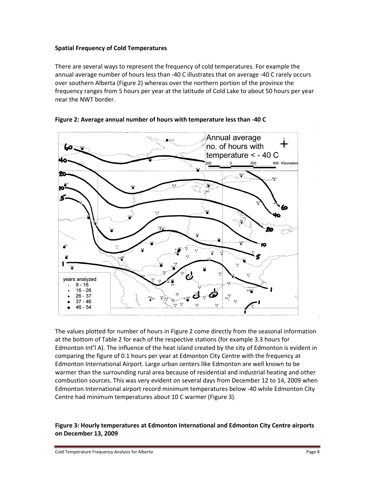#### <span id="page-9-0"></span>**Spatial Frequency of Cold Temperatures**

There are several ways to represent the frequency of cold temperatures. For example the annual average number of hours less than -40 C illustrates that on average -40 C rarely occurs over southern Alberta (Figure 2) whereas over the northern portion of the province the frequency ranges from 5 hours per year at the latitude of Cold Lake to about 50 hours per year near the NWT border.



<span id="page-9-1"></span>

The values plotted for number of hours in Figure 2 come directly from the seasonal information at the bottom of Table 2 for each of the respective stations (for example 3.3 hours for Edmonton Int'l A). The influence of the heat island created by the city of Edmonton is evident in comparing the figure of 0.1 hours per year at Edmonton City Centre with the frequency at Edmonton International Airport. Large urban centers like Edmonton are well known to be warmer than the surrounding rural area because of residential and industrial heating and other combustion sources. This was very evident on several days from December 12 to 14, 2009 when Edmonton International airport record minimum temperatures below -40 while Edmonton City Centre had minimum temperatures about 10 C warmer (Figure 3).

## <span id="page-9-2"></span>**Figure 3: Hourly temperatures at Edmonton International and Edmonton City Centre airports on December 13, 2009**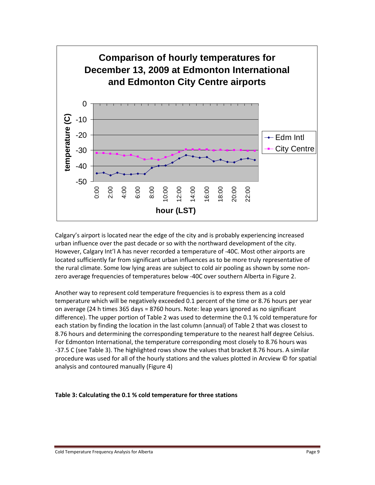

Calgary's airport is located near the edge of the city and is probably experiencing increased urban influence over the past decade or so with the northward development of the city. However, Calgary Int'l A has never recorded a temperature of -40C. Most other airports are located sufficiently far from significant urban influences as to be more truly representative of the rural climate. Some low lying areas are subject to cold air pooling as shown by some nonzero average frequencies of temperatures below -40C over southern Alberta in Figure 2.

Another way to represent cold temperature frequencies is to express them as a cold temperature which will be negatively exceeded 0.1 percent of the time or 8.76 hours per year on average (24 h times 365 days = 8760 hours. Note: leap years ignored as no significant difference). The upper portion of Table 2 was used to determine the 0.1 % cold temperature for each station by finding the location in the last column (annual) of Table 2 that was closest to 8.76 hours and determining the corresponding temperature to the nearest half degree Celsius. For Edmonton International, the temperature corresponding most closely to 8.76 hours was -37.5 C (see Table 3). The highlighted rows show the values that bracket 8.76 hours. A similar procedure was used for all of the hourly stations and the values plotted in Arcview © for spatial analysis and contoured manually (Figure 4)

<span id="page-10-0"></span>**Table 3: Calculating the 0.1 % cold temperature for three stations**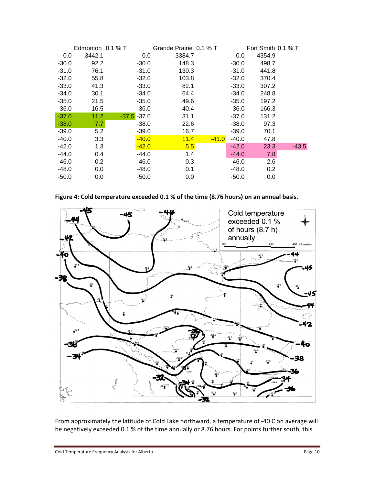|         | Edmonton $0.1\%$ T |                | Grande Prairie 0.1 % T |         |         | Fort Smith $0.1\%$ T |         |
|---------|--------------------|----------------|------------------------|---------|---------|----------------------|---------|
| 0.0     | 3442.1             | 0.0            | 3384.7                 |         | 0.0     | 4354.9               |         |
| $-30.0$ | 92.2               | $-30.0$        | 148.3                  |         | $-30.0$ | 498.7                |         |
| $-31.0$ | 76.1               | $-31.0$        | 130.3                  |         | $-31.0$ | 441.8                |         |
| $-32.0$ | 55.8               | $-32.0$        | 103.8                  |         | $-32.0$ | 370.4                |         |
| $-33.0$ | 41.3               | $-33.0$        | 82.1                   |         | $-33.0$ | 307.2                |         |
| $-34.0$ | 30.1               | $-34.0$        | 64.4                   |         | $-34.0$ | 248.8                |         |
| $-35.0$ | 21.5               | $-35.0$        | 49.6                   |         | $-35.0$ | 197.2                |         |
| $-36.0$ | 16.5               | $-36.0$        | 40.4                   |         | $-36.0$ | 166.3                |         |
| $-37.0$ | 11.2               | $-37.5 - 37.0$ | 31.1                   |         | $-37.0$ | 131.2                |         |
| $-38.0$ | 7.7                | $-38.0$        | 22.6                   |         | $-38.0$ | 97.3                 |         |
| $-39.0$ | 5.2                | $-39.0$        | 16.7                   |         | $-39.0$ | 70.1                 |         |
| $-40.0$ | 3.3                | $-40.0$        | 11.4                   | $-41.0$ | $-40.0$ | 47.8                 |         |
| $-42.0$ | 1.3                | $-42.0$        | 5.5                    |         | $-42.0$ | 23.3                 | $-43.5$ |
| $-44.0$ | 0.4                | -44.0          | 1.4                    |         | $-44.0$ | 7.8                  |         |
| $-46.0$ | 0.2                | $-46.0$        | 0.3                    |         | -46.0   | 2.6                  |         |
| $-48.0$ | 0.0                | $-48.0$        | 0.1                    |         | $-48.0$ | 0.2                  |         |
| $-50.0$ | 0.0                | $-50.0$        | 0.0                    |         | $-50.0$ | 0.0                  |         |

<span id="page-11-0"></span>**Figure 4: Cold temperature exceeded 0.1 % of the time (8.76 hours) on an annual basis.**



From approximately the latitude of Cold Lake northward, a temperature of -40 C on average will be negatively exceeded 0.1 % of the time annually or 8.76 hours. For points further south, this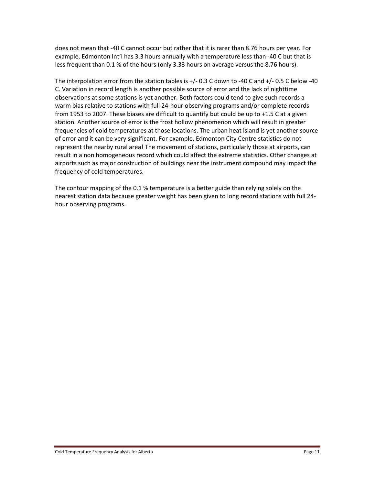does not mean that -40 C cannot occur but rather that it is rarer than 8.76 hours per year. For example, Edmonton Int'l has 3.3 hours annually with a temperature less than -40 C but that is less frequent than 0.1 % of the hours (only 3.33 hours on average versus the 8.76 hours).

The interpolation error from the station tables is +/- 0.3 C down to -40 C and +/- 0.5 C below -40 C. Variation in record length is another possible source of error and the lack of nighttime observations at some stations is yet another. Both factors could tend to give such records a warm bias relative to stations with full 24-hour observing programs and/or complete records from 1953 to 2007. These biases are difficult to quantify but could be up to +1.5 C at a given station. Another source of error is the frost hollow phenomenon which will result in greater frequencies of cold temperatures at those locations. The urban heat island is yet another source of error and it can be very significant. For example, Edmonton City Centre statistics do not represent the nearby rural area! The movement of stations, particularly those at airports, can result in a non homogeneous record which could affect the extreme statistics. Other changes at airports such as major construction of buildings near the instrument compound may impact the frequency of cold temperatures.

The contour mapping of the 0.1 % temperature is a better guide than relying solely on the nearest station data because greater weight has been given to long record stations with full 24 hour observing programs.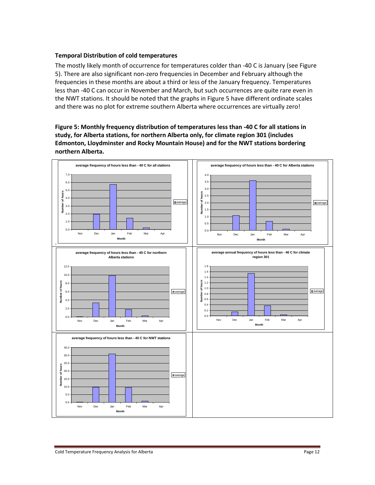#### <span id="page-13-0"></span>**Temporal Distribution of cold temperatures**

The mostly likely month of occurrence for temperatures colder than -40 C is January (see Figure 5). There are also significant non-zero frequencies in December and February although the frequencies in these months are about a third or less of the January frequency. Temperatures less than -40 C can occur in November and March, but such occurrences are quite rare even in the NWT stations. It should be noted that the graphs in Figure 5 have different ordinate scales and there was no plot for extreme southern Alberta where occurrences are virtually zero!

<span id="page-13-1"></span>**Figure 5: Monthly frequency distribution of temperatures less than -40 C for all stations in study, for Alberta stations, for northern Alberta only, for climate region 301 (includes Edmonton, Lloydminster and Rocky Mountain House) and for the NWT stations bordering northern Alberta.**

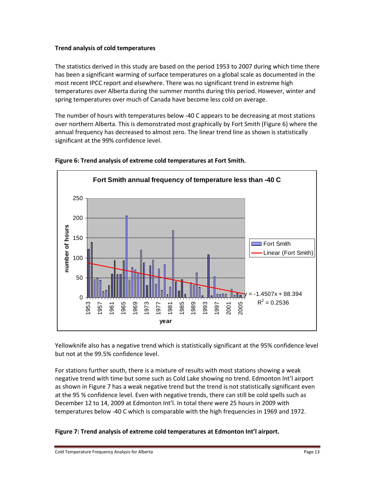#### <span id="page-14-0"></span>**Trend analysis of cold temperatures**

The statistics derived in this study are based on the period 1953 to 2007 during which time there has been a significant warming of surface temperatures on a global scale as documented in the most recent IPCC report and elsewhere. There was no significant trend in extreme high temperatures over Alberta during the summer months during this period. However, winter and spring temperatures over much of Canada have become less cold on average.

The number of hours with temperatures below -40 C appears to be decreasing at most stations over northern Alberta. This is demonstrated most graphically by Fort Smith (Figure 6) where the annual frequency has decreased to almost zero. The linear trend line as shown is statistically significant at the 99% confidence level.



## <span id="page-14-1"></span>**Figure 6: Trend analysis of extreme cold temperatures at Fort Smith.**

Yellowknife also has a negative trend which is statistically significant at the 95% confidence level but not at the 99.5% confidence level.

For stations further south, there is a mixture of results with most stations showing a weak negative trend with time but some such as Cold Lake showing no trend. Edmonton Int'l airport as shown in Figure 7 has a weak negative trend but the trend is not statistically significant even at the 95 % confidence level. Even with negative trends, there can still be cold spells such as December 12 to 14, 2009 at Edmonton Int'l. In total there were 25 hours in 2009 with temperatures below -40 C which is comparable with the high frequencies in 1969 and 1972.

## <span id="page-14-2"></span>**Figure 7: Trend analysis of extreme cold temperatures at Edmonton Int'l airport.**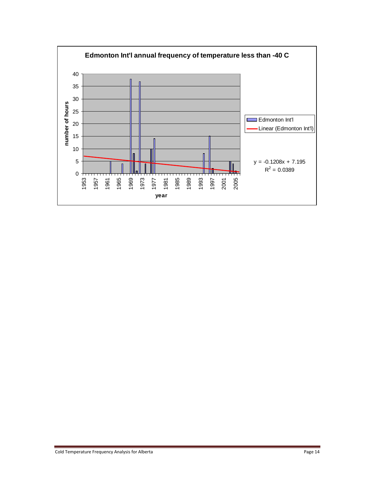